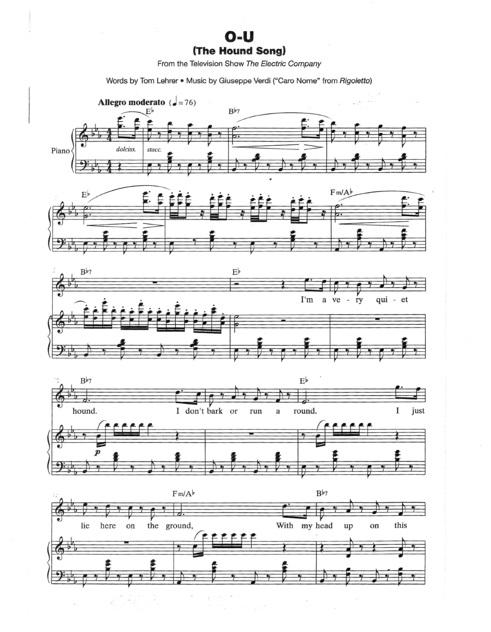## $O-U$ (The Hound Song)

From the Television Show The Electric Company

Words by Tom Lehrer . Music by Giuseppe Verdi ("Caro Nome" from Rigoletto)